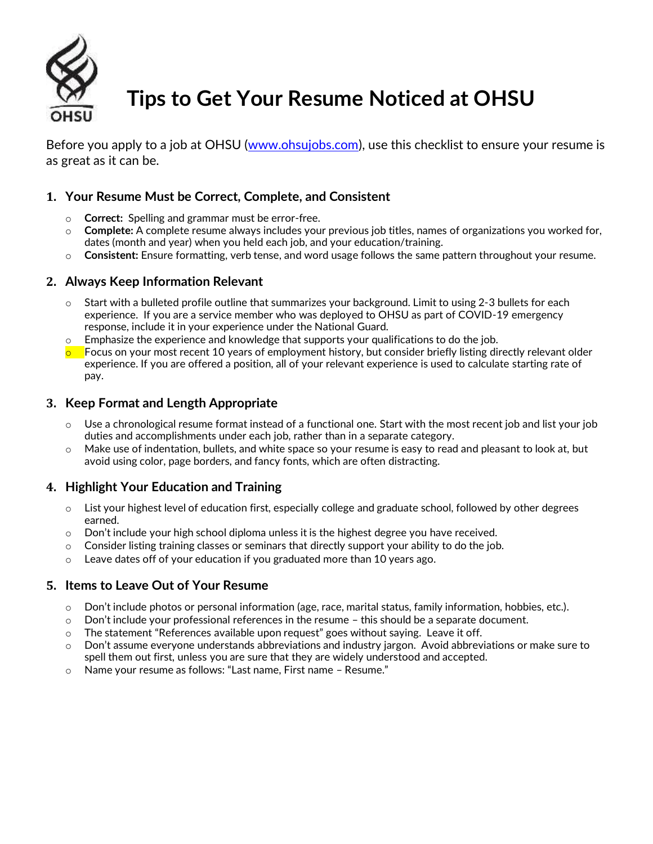

# **Tips to Get Your Resume Noticed at OHSU**

Before you apply to a job at OHSU [\(www.ohsujobs.com\)](http://www.ohsujobs.com/), use this checklist to ensure your resume is as great as it can be.

# **1. Your Resume Must be Correct, Complete, and Consistent**

- o **Correct:** Spelling and grammar must be error-free.
- o **Complete:** A complete resume always includes your previous job titles, names of organizations you worked for, dates (month and year) when you held each job, and your education/training.
- o **Consistent:** Ensure formatting, verb tense, and word usage follows the same pattern throughout your resume.

## **2. Always Keep Information Relevant**

- $\circ$  Start with a bulleted profile outline that summarizes your background. Limit to using 2-3 bullets for each experience. If you are a service member who was deployed to OHSU as part of COVID-19 emergency response, include it in your experience under the National Guard.
- $\circ$  Emphasize the experience and knowledge that supports your qualifications to do the job.
- $\circ$  Focus on your most recent 10 years of employment history, but consider briefly listing directly relevant older experience. If you are offered a position, all of your relevant experience is used to calculate starting rate of pay.

## **3. Keep Format and Length Appropriate**

- Use a chronological resume format instead of a functional one. Start with the most recent job and list your job duties and accomplishments under each job, rather than in a separate category.
- $\circ$  Make use of indentation, bullets, and white space so your resume is easy to read and pleasant to look at, but avoid using color, page borders, and fancy fonts, which are often distracting.

## **4. Highlight Your Education and Training**

- $\circ$  List your highest level of education first, especially college and graduate school, followed by other degrees earned.
- $\circ$  Don't include your high school diploma unless it is the highest degree you have received.
- $\circ$  Consider listing training classes or seminars that directly support your ability to do the job.
- $\circ$  Leave dates off of your education if you graduated more than 10 years ago.

## **5. Items to Leave Out of Your Resume**

- $\circ$  Don't include photos or personal information (age, race, marital status, family information, hobbies, etc.).
- $\circ$  Don't include your professional references in the resume this should be a separate document.
- $\circ$  The statement "References available upon request" goes without saying. Leave it off.
- o Don't assume everyone understands abbreviations and industry jargon. Avoid abbreviations or make sure to spell them out first, unless you are sure that they are widely understood and accepted.
- o Name your resume as follows: "Last name, First name Resume."